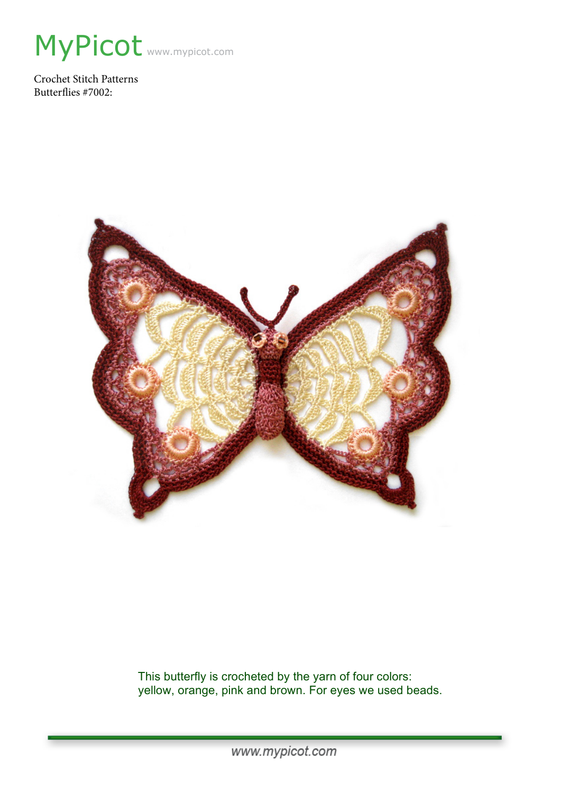

Crochet Stitch Patterns Butterflies #7002:



This butterfly is crocheted by the yarn of four colors: yellow, orange, pink and brown. For eyes we used beads.

www.mypicot.com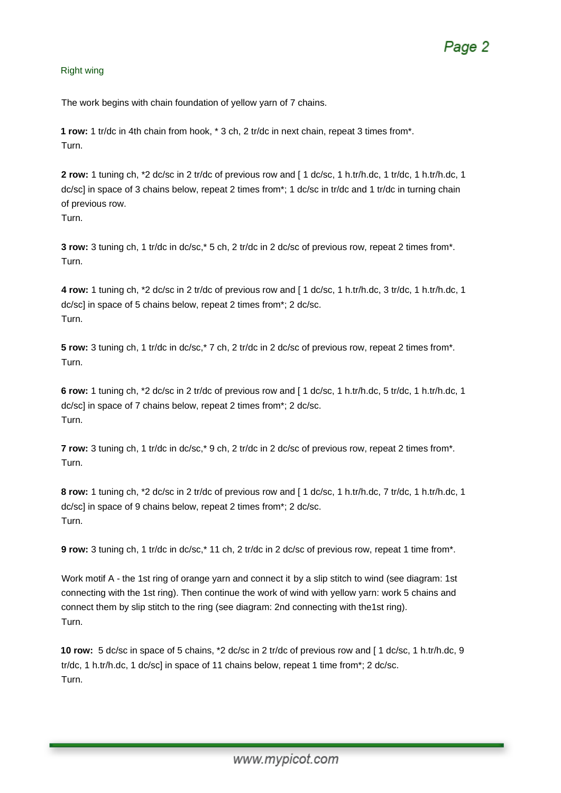### Right wing

The work begins with chain foundation of yellow yarn of 7 chains.

**1 row:** 1 tr/dc in 4th chain from hook, \* 3 ch, 2 tr/dc in next chain, repeat 3 times from\*. Turn.

**2 row:** 1 tuning ch, \*2 dc/sc in 2 tr/dc of previous row and [ 1 dc/sc, 1 h.tr/h.dc, 1 tr/dc, 1 h.tr/h.dc, 1 dc/sc] in space of 3 chains below, repeat 2 times from\*; 1 dc/sc in tr/dc and 1 tr/dc in turning chain of previous row. Turn.

**3 row:** 3 tuning ch, 1 tr/dc in dc/sc,\* 5 ch, 2 tr/dc in 2 dc/sc of previous row, repeat 2 times from\*. Turn.

**4 row:** 1 tuning ch, \*2 dc/sc in 2 tr/dc of previous row and [ 1 dc/sc, 1 h.tr/h.dc, 3 tr/dc, 1 h.tr/h.dc, 1 dc/sc] in space of 5 chains below, repeat 2 times from\*; 2 dc/sc. Turn.

**5 row:** 3 tuning ch, 1 tr/dc in dc/sc,\* 7 ch, 2 tr/dc in 2 dc/sc of previous row, repeat 2 times from\*. Turn.

**6 row:** 1 tuning ch, \*2 dc/sc in 2 tr/dc of previous row and [ 1 dc/sc, 1 h.tr/h.dc, 5 tr/dc, 1 h.tr/h.dc, 1 dc/sc] in space of 7 chains below, repeat 2 times from\*; 2 dc/sc. Turn.

**7 row:** 3 tuning ch, 1 tr/dc in dc/sc,\* 9 ch, 2 tr/dc in 2 dc/sc of previous row, repeat 2 times from\*. Turn.

**8 row:** 1 tuning ch, \*2 dc/sc in 2 tr/dc of previous row and [ 1 dc/sc, 1 h.tr/h.dc, 7 tr/dc, 1 h.tr/h.dc, 1 dc/sc] in space of 9 chains below, repeat 2 times from\*; 2 dc/sc. Turn.

**9 row:** 3 tuning ch, 1 tr/dc in dc/sc,\* 11 ch, 2 tr/dc in 2 dc/sc of previous row, repeat 1 time from\*.

Work motif A - the 1st ring of orange yarn and connect it by a slip stitch to wind (see diagram: 1st connecting with the 1st ring). Then continue the work of wind with yellow yarn: work 5 chains and connect them by slip stitch to the ring (see diagram: 2nd connecting with the1st ring). Turn.

**10 row:** 5 dc/sc in space of 5 chains, \*2 dc/sc in 2 tr/dc of previous row and [ 1 dc/sc, 1 h.tr/h.dc, 9 tr/dc, 1 h.tr/h.dc, 1 dc/sc] in space of 11 chains below, repeat 1 time from\*; 2 dc/sc. Turn.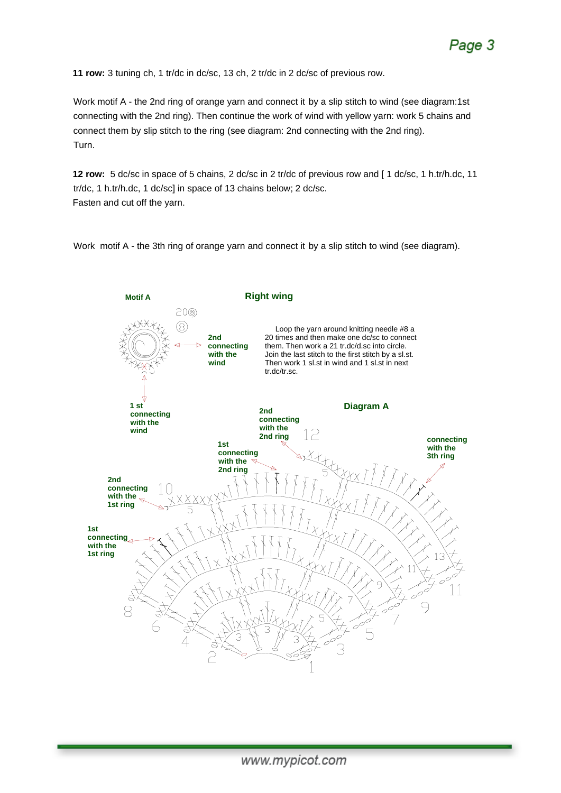**11 row:** 3 tuning ch, 1 tr/dc in dc/sc, 13 ch, 2 tr/dc in 2 dc/sc of previous row.

Work motif A - the 2nd ring of orange yarn and connect it by a slip stitch to wind (see diagram:1st connecting with the 2nd ring). Then continue the work of wind with yellow yarn: work 5 chains and connect them by slip stitch to the ring (see diagram: 2nd connecting with the 2nd ring). Turn.

**12 row:** 5 dc/sc in space of 5 chains, 2 dc/sc in 2 tr/dc of previous row and [ 1 dc/sc, 1 h.tr/h.dc, 11 tr/dc, 1 h.tr/h.dc, 1 dc/sc] in space of 13 chains below; 2 dc/sc. Fasten and cut off the yarn.

Work motif A - the 3th ring of orange yarn and connect it by a slip stitch to wind (see diagram).

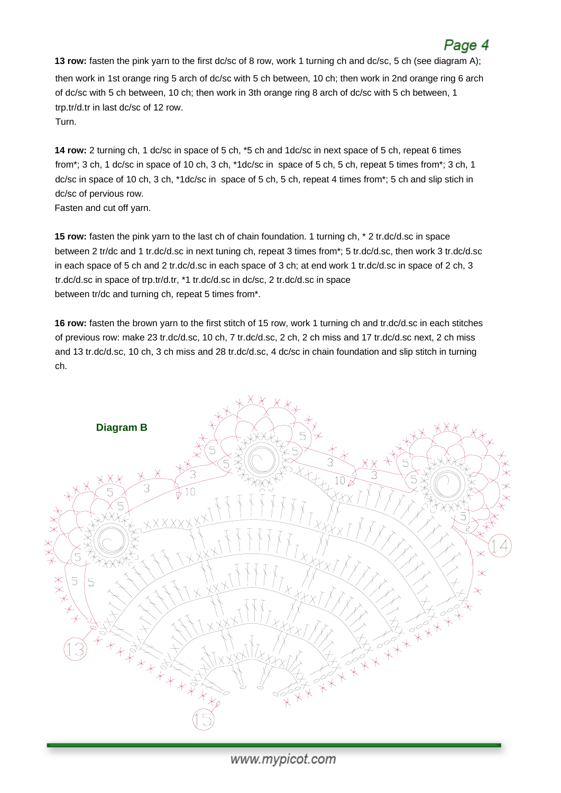## Page 4

**13 row:** fasten the pink yarn to the first dc/sc of 8 row, work 1 turning ch and dc/sc, 5 ch (see diagram A); then work in 1st orange ring 5 arch of dc/sc with 5 ch between, 10 ch; then work in 2nd orange ring 6 arch of dc/sc with 5 ch between, 10 ch; then work in 3th orange ring 8 arch of dc/sc with 5 ch between, 1 trp.tr/d.tr in last dc/sc of 12 row. Turn.

**14 row:** 2 turning ch, 1 dc/sc in space of 5 ch, \*5 ch and 1dc/sc in next space of 5 ch, repeat 6 times from\*; 3 ch, 1 dc/sc in space of 10 ch, 3 ch, \*1dc/sc in space of 5 ch, 5 ch, repeat 5 times from\*; 3 ch, 1 dc/sc in space of 10 ch, 3 ch, \*1dc/sc in space of 5 ch, 5 ch, repeat 4 times from\*; 5 ch and slip stich in dc/sc of pervious row.

Fasten and cut off yarn.

**15 row:** fasten the pink yarn to the last ch of chain foundation. 1 turning ch, \* 2 tr.dc/d.sc in space between 2 tr/dc and 1 tr.dc/d.sc in next tuning ch, repeat 3 times from\*; 5 tr.dc/d.sc, then work 3 tr.dc/d.sc in each space of 5 ch and 2 tr.dc/d.sc in each space of 3 ch; at end work 1 tr.dc/d.sc in space of 2 ch, 3 tr.dc/d.sc in space of trp.tr/d.tr, \*1 tr.dc/d.sc in dc/sc, 2 tr.dc/d.sc in space between tr/dc and turning ch, repeat 5 times from\*.

**16 row:** fasten the brown yarn to the first stitch of 15 row, work 1 turning ch and tr.dc/d.sc in each stitches of previous row: make 23 tr.dc/d.sc, 10 ch, 7 tr.dc/d.sc, 2 ch, 2 ch miss and 17 tr.dc/d.sc next, 2 ch miss and 13 tr.dc/d.sc, 10 ch, 3 ch miss and 28 tr.dc/d.sc, 4 dc/sc in chain foundation and slip stitch in turning ch.



www.mypicot.com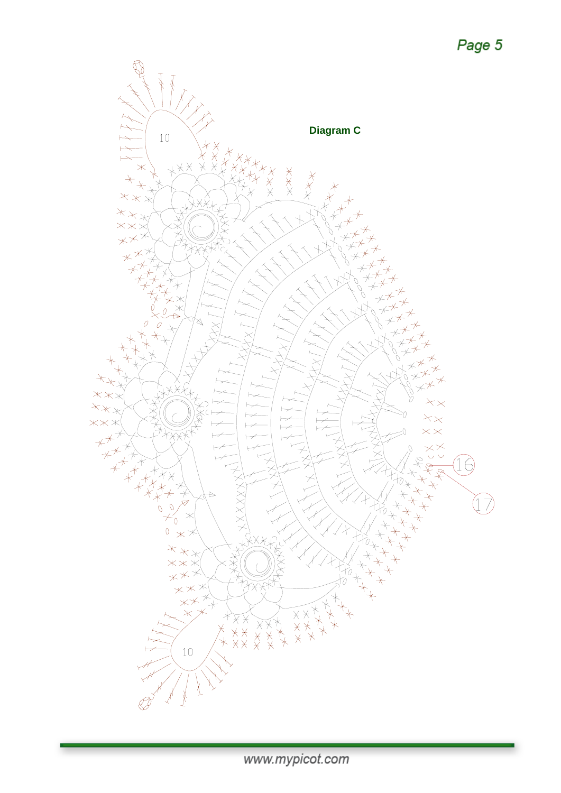

www.mypicot.com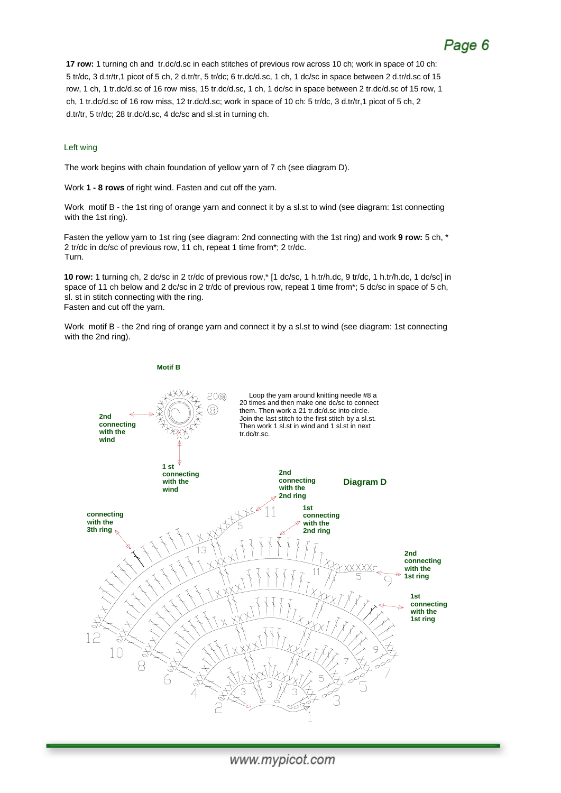# Page 6

**17 row:** 1 turning ch and tr.dc/d.sc in each stitches of previous row across 10 ch; work in space of 10 ch: 5 tr/dc, 3 d.tr/tr,1 picot of 5 ch, 2 d.tr/tr, 5 tr/dc; 6 tr.dc/d.sc, 1 ch, 1 dc/sc in space between 2 d.tr/d.sc of 15 row, 1 ch, 1 tr.dc/d.sc of 16 row miss, 15 tr.dc/d.sc, 1 ch, 1 dc/sc in space between 2 tr.dc/d.sc of 15 row, 1 ch, 1 tr.dc/d.sc of 16 row miss, 12 tr.dc/d.sc; work in space of 10 ch: 5 tr/dc, 3 d.tr/tr,1 picot of 5 ch, 2 d.tr/tr, 5 tr/dc; 28 tr.dc/d.sc, 4 dc/sc and sl.st in turning ch.

#### Left wing

The work begins with chain foundation of yellow yarn of 7 ch (see diagram D).

Work **1 - 8 rows** of right wind. Fasten and cut off the yarn.

Work motif B - the 1st ring of orange yarn and connect it by a sl.st to wind (see diagram: 1st connecting with the 1st ring).

Fasten the yellow yarn to 1st ring (see diagram: 2nd connecting with the 1st ring) and work **9 row:** 5 ch, \* 2 tr/dc in dc/sc of previous row, 11 ch, repeat 1 time from\*; 2 tr/dc. Turn.

**10 row:** 1 turning ch, 2 dc/sc in 2 tr/dc of previous row,\* [1 dc/sc, 1 h.tr/h.dc, 9 tr/dc, 1 h.tr/h.dc, 1 dc/sc] in space of 11 ch below and 2 dc/sc in 2 tr/dc of previous row, repeat 1 time from\*; 5 dc/sc in space of 5 ch, sl. st in stitch connecting with the ring. Fasten and cut off the yarn.

Work motif B - the 2nd ring of orange yarn and connect it by a sl.st to wind (see diagram: 1st connecting with the 2nd ring).

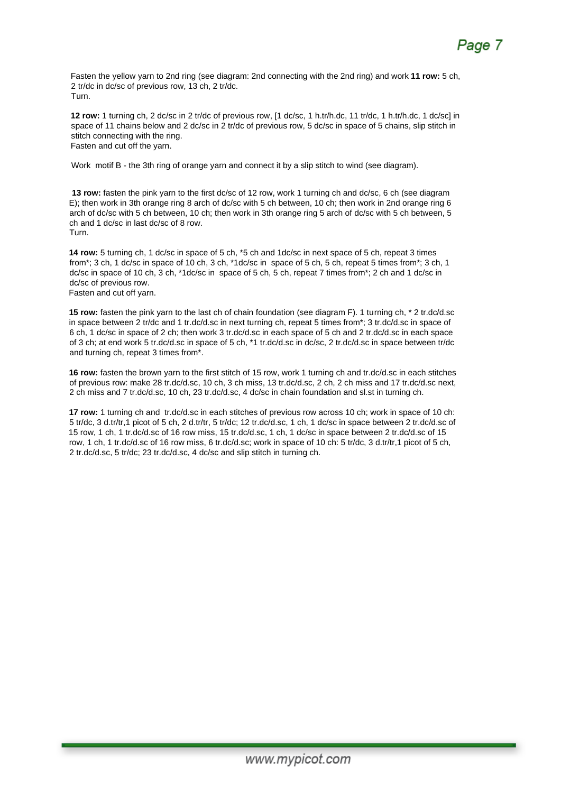Fasten the yellow yarn to 2nd ring (see diagram: 2nd connecting with the 2nd ring) and work **11 row:** 5 ch, 2 tr/dc in dc/sc of previous row, 13 ch, 2 tr/dc. Turn.

**12 row:** 1 turning ch, 2 dc/sc in 2 tr/dc of previous row, [1 dc/sc, 1 h.tr/h.dc, 11 tr/dc, 1 h.tr/h.dc, 1 dc/sc] in space of 11 chains below and 2 dc/sc in 2 tr/dc of previous row, 5 dc/sc in space of 5 chains, slip stitch in stitch connecting with the ring. Fasten and cut off the yarn.

Work motif B - the 3th ring of orange yarn and connect it by a slip stitch to wind (see diagram).

**13 row:** fasten the pink yarn to the first dc/sc of 12 row, work 1 turning ch and dc/sc, 6 ch (see diagram E); then work in 3th orange ring 8 arch of dc/sc with 5 ch between, 10 ch; then work in 2nd orange ring 6 arch of dc/sc with 5 ch between, 10 ch; then work in 3th orange ring 5 arch of dc/sc with 5 ch between, 5 ch and 1 dc/sc in last dc/sc of 8 row. Turn.

**14 row:** 5 turning ch, 1 dc/sc in space of 5 ch, \*5 ch and 1dc/sc in next space of 5 ch, repeat 3 times from\*; 3 ch, 1 dc/sc in space of 10 ch, 3 ch, \*1dc/sc in space of 5 ch, 5 ch, repeat 5 times from\*; 3 ch, 1 dc/sc in space of 10 ch, 3 ch, \*1dc/sc in space of 5 ch, 5 ch, repeat 7 times from\*; 2 ch and 1 dc/sc in dc/sc of previous row. Fasten and cut off yarn.

**15 row:** fasten the pink yarn to the last ch of chain foundation (see diagram F). 1 turning ch, \* 2 tr.dc/d.sc in space between 2 tr/dc and 1 tr.dc/d.sc in next turning ch, repeat 5 times from\*; 3 tr.dc/d.sc in space of 6 ch, 1 dc/sc in space of 2 ch; then work 3 tr.dc/d.sc in each space of 5 ch and 2 tr.dc/d.sc in each space of 3 ch; at end work 5 tr.dc/d.sc in space of 5 ch, \*1 tr.dc/d.sc in dc/sc, 2 tr.dc/d.sc in space between tr/dc and turning ch, repeat 3 times from\*.

**16 row:** fasten the brown yarn to the first stitch of 15 row, work 1 turning ch and tr.dc/d.sc in each stitches of previous row: make 28 tr.dc/d.sc, 10 ch, 3 ch miss, 13 tr.dc/d.sc, 2 ch, 2 ch miss and 17 tr.dc/d.sc next, 2 ch miss and 7 tr.dc/d.sc, 10 ch, 23 tr.dc/d.sc, 4 dc/sc in chain foundation and sl.st in turning ch.

**17 row:** 1 turning ch and tr.dc/d.sc in each stitches of previous row across 10 ch; work in space of 10 ch: 5 tr/dc, 3 d.tr/tr,1 picot of 5 ch, 2 d.tr/tr, 5 tr/dc; 12 tr.dc/d.sc, 1 ch, 1 dc/sc in space between 2 tr.dc/d.sc of 15 row, 1 ch, 1 tr.dc/d.sc of 16 row miss, 15 tr.dc/d.sc, 1 ch, 1 dc/sc in space between 2 tr.dc/d.sc of 15 row, 1 ch, 1 tr.dc/d.sc of 16 row miss, 6 tr.dc/d.sc; work in space of 10 ch: 5 tr/dc, 3 d.tr/tr,1 picot of 5 ch, 2 tr.dc/d.sc, 5 tr/dc; 23 tr.dc/d.sc, 4 dc/sc and slip stitch in turning ch.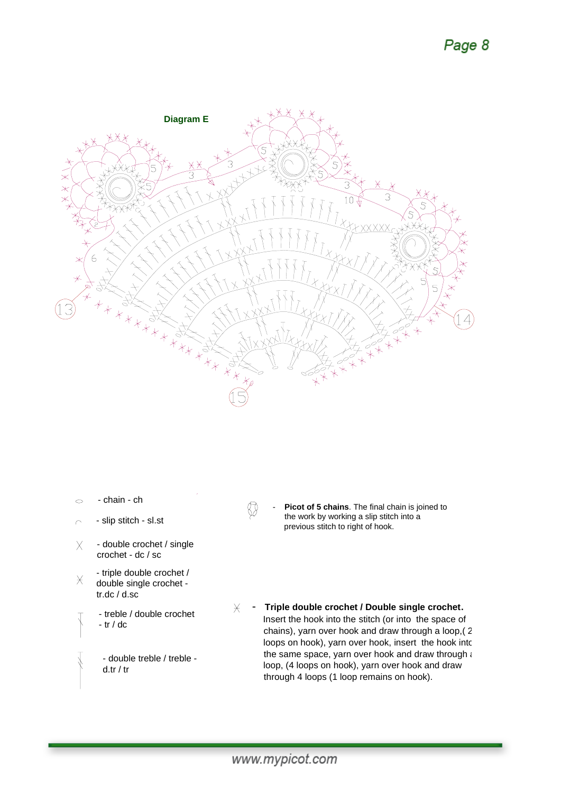# Page 8



- chain ch  $\overline{\mathcal{O}}$
- slip stitch sl.st  $\overline{C}$
- double crochet / single  $\times$ crochet - dc / sc
- triple double crochet /  $\times$ double single crochet tr.dc / d.sc
	- treble / double crochet - tr / dc
	- double treble / treble d.tr / tr
- ₩
- Picot of 5 chains. The final chain is joined to the work by working a slip stitch into a previous stitch to right of hook.
- $\times$  Triple double crochet / Double single crochet. Insert the hook into the stitch (or into the space of chains), yarn over hook and draw through a loop,( 2 loops on hook), yarn over hook, insert the hook into the same space, yarn over hook and draw through  $\epsilon$ loop, (4 loops on hook), yarn over hook and draw through 4 loops (1 loop remains on hook).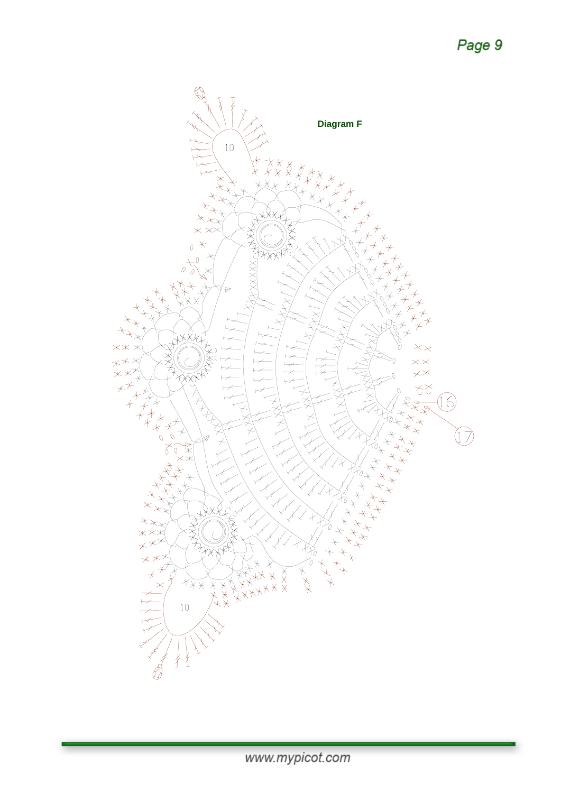